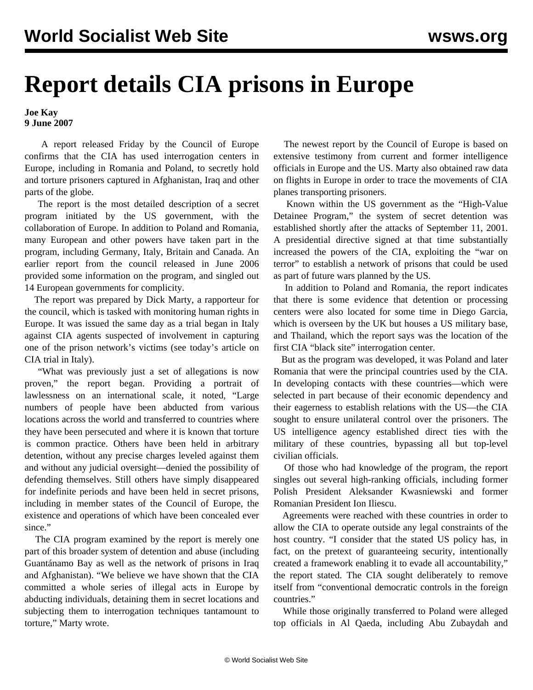## **Report details CIA prisons in Europe**

## **Joe Kay 9 June 2007**

 A report released Friday by the Council of Europe confirms that the CIA has used interrogation centers in Europe, including in Romania and Poland, to secretly hold and torture prisoners captured in Afghanistan, Iraq and other parts of the globe.

 The report is the most detailed description of a secret program initiated by the US government, with the collaboration of Europe. In addition to Poland and Romania, many European and other powers have taken part in the program, including Germany, Italy, Britain and Canada. An earlier report from the council released in June 2006 provided some information on the program, and singled out 14 European governments for complicity.

 The report was prepared by Dick Marty, a rapporteur for the council, which is tasked with monitoring human rights in Europe. It was issued the same day as a trial began in Italy against CIA agents suspected of involvement in capturing one of the prison network's victims (see today's article on CIA trial in Italy).

 "What was previously just a set of allegations is now proven," the report began. Providing a portrait of lawlessness on an international scale, it noted, "Large numbers of people have been abducted from various locations across the world and transferred to countries where they have been persecuted and where it is known that torture is common practice. Others have been held in arbitrary detention, without any precise charges leveled against them and without any judicial oversight—denied the possibility of defending themselves. Still others have simply disappeared for indefinite periods and have been held in secret prisons, including in member states of the Council of Europe, the existence and operations of which have been concealed ever since."

 The CIA program examined by the report is merely one part of this broader system of detention and abuse (including Guantánamo Bay as well as the network of prisons in Iraq and Afghanistan). "We believe we have shown that the CIA committed a whole series of illegal acts in Europe by abducting individuals, detaining them in secret locations and subjecting them to interrogation techniques tantamount to torture," Marty wrote.

 The newest report by the Council of Europe is based on extensive testimony from current and former intelligence officials in Europe and the US. Marty also obtained raw data on flights in Europe in order to trace the movements of CIA planes transporting prisoners.

 Known within the US government as the "High-Value Detainee Program," the system of secret detention was established shortly after the attacks of September 11, 2001. A presidential directive signed at that time substantially increased the powers of the CIA, exploiting the "war on terror" to establish a network of prisons that could be used as part of future wars planned by the US.

 In addition to Poland and Romania, the report indicates that there is some evidence that detention or processing centers were also located for some time in Diego Garcia, which is overseen by the UK but houses a US military base, and Thailand, which the report says was the location of the first CIA "black site" interrogation center.

 But as the program was developed, it was Poland and later Romania that were the principal countries used by the CIA. In developing contacts with these countries—which were selected in part because of their economic dependency and their eagerness to establish relations with the US—the CIA sought to ensure unilateral control over the prisoners. The US intelligence agency established direct ties with the military of these countries, bypassing all but top-level civilian officials.

 Of those who had knowledge of the program, the report singles out several high-ranking officials, including former Polish President Aleksander Kwasniewski and former Romanian President Ion Iliescu.

 Agreements were reached with these countries in order to allow the CIA to operate outside any legal constraints of the host country. "I consider that the stated US policy has, in fact, on the pretext of guaranteeing security, intentionally created a framework enabling it to evade all accountability," the report stated. The CIA sought deliberately to remove itself from "conventional democratic controls in the foreign countries."

 While those originally transferred to Poland were alleged top officials in Al Qaeda, including Abu Zubaydah and